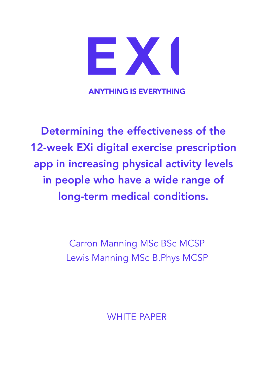

ANYTHING IS EVERYTHING

Determining the effectiveness of the 12-week EXi digital exercise prescription app in increasing physical activity levels in people who have a wide range of long-term medical conditions.

> Carron Manning MSc BSc MCSP Lewis Manning MSc B.Phys MCSP

> > WHITE PAPER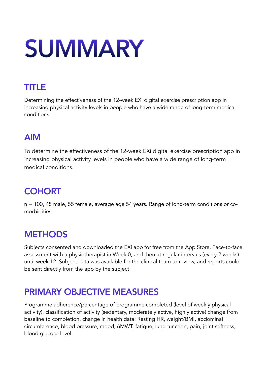# **SUMMARY**

## TITLE

Determining the effectiveness of the 12-week EXi digital exercise prescription app in increasing physical activity levels in people who have a wide range of long-term medical conditions.

## AIM

To determine the effectiveness of the 12-week EXi digital exercise prescription app in increasing physical activity levels in people who have a wide range of long-term medical conditions.

## **COHORT**

n = 100, 45 male, 55 female, average age 54 years. Range of long-term conditions or comorbidities.

## **METHODS**

Subjects consented and downloaded the EXi app for free from the App Store. Face-to-face assessment with a physiotherapist in Week 0, and then at regular intervals (every 2 weeks) until week 12. Subject data was available for the clinical team to review, and reports could be sent directly from the app by the subject.

## PRIMARY OBJECTIVE MEASURES

Programme adherence/percentage of programme completed (level of weekly physical activity), classification of activity (sedentary, moderately active, highly active) change from baseline to completion, change in health data: Resting HR, weight/BMI, abdominal circumference, blood pressure, mood, 6MWT, fatigue, lung function, pain, joint stiffness, blood glucose level.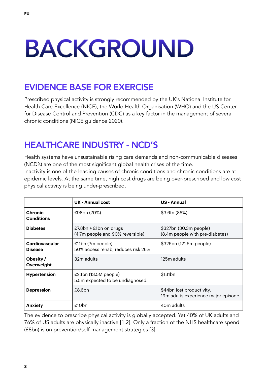# BACKGROUND

### EVIDENCE BASE FOR EXERCISE

Prescribed physical activity is strongly recommended by the UK's National Institute for Health Care Excellence (NICE), the World Health Organisation (WHO) and the US Center for Disease Control and Prevention (CDC) as a key factor in the management of several chronic conditions (NICE guidance 2020).

## HEALTHCARE INDUSTRY - NCD'S

Health systems have unsustainable rising care demands and non-communicable diseases (NCD's) are one of the most significant global health crises of the time.

Inactivity is one of the leading causes of chronic conditions and chronic conditions are at epidemic levels. At the same time, high cost drugs are being over-prescribed and low cost physical activity is being under-prescribed.

|                                         | UK - Annual cost                                             | <b>US</b> - Annual                                                |
|-----------------------------------------|--------------------------------------------------------------|-------------------------------------------------------------------|
| <b>Chronic</b><br><b>Conditions</b>     | £98bn (70%)                                                  | \$3.6tn (86%)                                                     |
| <b>Diabetes</b>                         | $£7.8bn + £1bn$ on drugs<br>(4.7m people and 90% reversible) | \$327bn (30.3m people)<br>(8.4m people with pre-diabetes)         |
| <b>Cardiovascular</b><br><b>Disease</b> | £11bn (7m people)<br>50% access rehab, reduces risk 26%      | \$326bn (121.5m people)                                           |
| Obesity /<br>Overweight                 | 32m adults                                                   | 125m adults                                                       |
| <b>Hypertension</b>                     | £2.1bn (13.5M people)<br>5.5m expected to be undiagnosed.    | \$131bn                                                           |
| <b>Depression</b>                       | £8.6bn                                                       | \$44bn lost productivity.<br>19m adults experience major episode. |
| <b>Anxiety</b>                          | £10 <sub>bn</sub>                                            | 40 <sub>m</sub> adults                                            |

The evidence to prescribe physical activity is globally accepted. Yet 40% of UK adults and 76% of US adults are physically inactive [1,2]. Only a fraction of the NHS healthcare spend (£8bn) is on prevention/self-management strategies [3]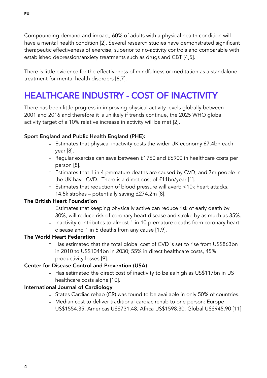Compounding demand and impact, 60% of adults with a physical health condition will have a mental health condition [2]. Several research studies have demonstrated significant therapeutic effectiveness of exercise, superior to no-activity controls and comparable with established depression/anxiety treatments such as drugs and CBT [4,5].

There is little evidence for the effectiveness of mindfulness or meditation as a standalone treatment for mental health disorders [6,7].

## HEALTHCARE INDUSTRY - COST OF INACTIVITY

There has been little progress in improving physical activity levels globally between 2001 and 2016 and therefore it is unlikely if trends continue, the 2025 WHO global activity target of a 10% relative increase in activity will be met [2].

#### Sport England and Public Health England (PHE):

- Estimates that physical inactivity costs the wider UK economy £7.4bn each year [8].
- Regular exercise can save between £1750 and £6900 in healthcare costs per person [8].
- Estimates that 1 in 4 premature deaths are caused by CVD, and 7m people in the UK have CVD. There is a direct cost of £11bn/year [1].
- Estimates that reduction of blood pressure will avert: <10k heart attacks, 14.5k strokes – potentially saving £274.2m [8].

#### The British Heart Foundation

- Estimates that keeping physically active can reduce risk of early death by 30%, will reduce risk of coronary heart disease and stroke by as much as 35%.
- Inactivity contributes to almost 1 in 10 premature deaths from coronary heart disease and 1 in 6 deaths from any cause [1,9].

#### The World Heart Federation

- Has estimated that the total global cost of CVD is set to rise from US\$863bn in 2010 to US\$1044bn in 2030; 55% in direct healthcare costs, 45% productivity losses [9].

#### Center for Disease Control and Prevention (USA)

- Has estimated the direct cost of inactivity to be as high as US\$117bn in US healthcare costs alone [10].

#### International Journal of Cardiology

- States Cardiac rehab (CR) was found to be available in only 50% of countries.
- Median cost to deliver traditional cardiac rehab to one person: Europe US\$1554.35, Americas US\$731.48, Africa US\$1598.30, Global US\$945.90 [11]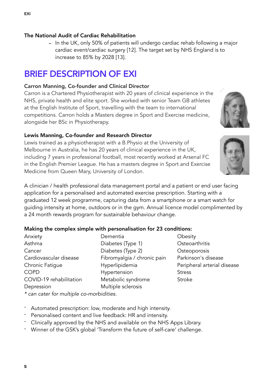#### The National Audit of Cardiac Rehabilitation

- In the UK, only 50% of patients will undergo cardiac rehab following a major cardiac event/cardiac surgery [12]. The target set by NHS England is to increase to 85% by 2028 [13].

### BRIEF DESCRIPTION OF EXI

#### Carron Manning, Co-founder and Clinical Director

Carron is a Chartered Physiotherapist with 20 years of clinical experience in the NHS, private health and elite sport. She worked with senior Team GB athletes at the English Institute of Sport, travelling with the team to international competitions. Carron holds a Masters degree in Sport and Exercise medicine, alongside her BSc in Physiotherapy.

#### Lewis Manning, Co-founder and Research Director

Lewis trained as a physiotherapist with a B.Physio at the University of Melbourne in Australia, he has 20 years of clinical experience in the UK, including 7 years in professional football, most recently worked at Arsenal FC in the English Premier League. He has a masters degree in Sport and Exercise Medicine from Queen Mary, University of London.

A clinician / health professional data management portal and a patient or end user facing application for a personalised and automated exercise prescription. Starting with a graduated 12 week programme, capturing data from a smartphone or a smart watch for guiding intensity at home, outdoors or in the gym. Annual licence model complimented by a 24 month rewards program for sustainable behaviour change.

#### Making the complex simple with personalisation for 23 conditions:

Anxiety Asthma Cancer Cardiovascular disease Chronic Fatigue COPD COVID-19 rehabilitation Depression

Dementia Diabetes (Type 1) Diabetes (Type 2) Fibromyalgia / chronic pain Hyperlipidemia Hypertension Metabolic syndrome Multiple sclerosis

**Obesity Osteoarthritis Osteoporosis** Parkinson's disease Peripheral arterial disease **Stress** Stroke

*\* can cater for multiple co-morbidities.*

- Automated prescription: low, moderate and high intensity.
- Personalised content and live feedback: HR and intensity.
- Clinically approved by the NHS and available on the NHS Apps Library.
- Winner of the GSK's global 'Transform the future of self-care' challenge.



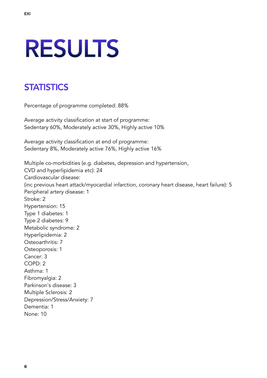## RESULTS

## **STATISTICS**

Percentage of programme completed: 88%

Average activity classification at start of programme: Sedentary 60%, Moderately active 30%, Highly active 10%

Average activity classification at end of programme: Sedentary 8%, Moderately active 76%, Highly active 16%

Multiple co-morbidities (e.g. diabetes, depression and hypertension, CVD and hyperlipidemia etc): 24 Cardiovascular disease: (inc previous heart attack/myocardial infarction, coronary heart disease, heart failure): 5 Peripheral artery disease: 1 Stroke: 2 Hypertension: 15 Type 1 diabetes: 1 Type 2 diabetes: 9 Metabolic syndrome: 2 Hyperlipidemia: 2 Osteoarthritis: 7 Osteoporosis: 1 Cancer: 3 COPD: 2 Asthma: 1 Fibromyalgia: 2 Parkinson's disease: 3 Multiple Sclerosis: 2 Depression/Stress/Anxiety: 7 Dementia: 1 None: 10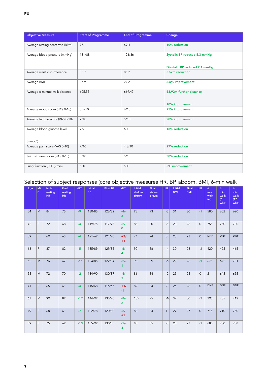| <b>Objective Measure</b>         | <b>Start of Programme</b> | <b>End of Programme</b> | Change                        |
|----------------------------------|---------------------------|-------------------------|-------------------------------|
| Average resting heart rate (BPM) | 77.1                      | 69.4                    | 10% reduction                 |
| Average blood pressure (mmHg)    | 131/88                    | 126/86                  | Systolic BP reduced 5.3 mmHq  |
|                                  |                           |                         | Diastolic BP reduced 2.1 mmHg |
| Average waist circumference      | 88.7                      | 85.2                    | 3.5cm reduction               |
| Average BMI                      | 27.9                      | 27.2                    | 2.5% improvement              |
| Average 6-minute walk distance   | 605.55                    | 669.47                  | 63.92m further distance       |
|                                  |                           |                         | 10% improvement               |
| Average mood score (VAS 0-10)    | 3.5/10                    | 6/10                    | 25% improvement               |
| Average fatigue score (VAS 0-10) | 7/10                      | 5/10                    | 20% improvement               |
| Average blood glucose level      | 7.9                       | 6.7                     | 18% reduction                 |
| (mmol/l)                         |                           |                         |                               |
| Average pain score (VAS 0-10)    | 7/10                      | 4.3/10                  | 27% reduction                 |
| Joint stiffness score (VAS 0-10) | 8/10                      | 5/10                    | 30% reduction                 |
| Lung function (PEF (I/min)       | 560                       | 580                     | 5% improvement                |

#### Selection of subject responses (core objective measures HR, BP, abdom, BMI, 6-min walk

| Age | M/<br>F. | <b>Initial</b><br>resting<br>HR | Final<br>resting<br>HR. | diff  | <b>Initial</b><br><b>BP</b> | <b>Final BP</b> | diff                     | <b>Initial</b><br>abdom<br>circum | Final<br>abdom<br>circum | diff           | <b>Initial</b><br><b>BMI</b> | <b>Final</b><br><b>BMI</b> | diff         | 6 <sup>1</sup><br>min<br>walk<br>(m) | 6 <sup>1</sup><br>min<br>walk<br>(6)<br>wks) | 6 <sup>1</sup><br>min<br>walk<br>(12)<br>wks) |
|-----|----------|---------------------------------|-------------------------|-------|-----------------------------|-----------------|--------------------------|-----------------------------------|--------------------------|----------------|------------------------------|----------------------------|--------------|--------------------------------------|----------------------------------------------|-----------------------------------------------|
| 54  | M        | 84                              | 75                      | $-9$  | 130/85                      | 126/82          | $-4/-$<br>3              | 98                                | 93                       | $-5$           | 31                           | 30                         | $-1$         | 580                                  | 602                                          | 620                                           |
| 42  | F        | 72                              | 68                      | $-4$  | 119/75                      | 117/75          | $-2/$<br>$\mathbf{0}$    | 85                                | 80                       | $-5$           | 28                           | 28                         | $\mathbf{0}$ | 755                                  | 760                                          | 780                                           |
| 39  | F        | 69                              | 63                      | $-4$  | 121/69                      | 124/70          | $+3/$<br>$+1$            | 74                                | 74                       | $\mathbf{0}$   | 23                           | 23                         | $\mathbf{0}$ | <b>DNF</b>                           | <b>DNF</b>                                   | <b>DNF</b>                                    |
| 68  | F        | 87                              | 82                      | $-5$  | 135/89                      | 129/85          | $-6/-$<br>4              | 90                                | 86                       | $-4$           | 30                           | 28                         | $-2$         | 420                                  | 425                                          | 465                                           |
| 62  | M        | 76                              | 67                      | $-11$ | 124/85                      | 122/84          | $-2/-$<br>1              | 95                                | 89                       | $-6$           | 29                           | 28                         | $-1$         | 675                                  | 672                                          | 701                                           |
| 55  | M        | 72                              | 70                      | $-2$  | 134/90                      | 130/87          | $-4/$<br>3               | 86                                | 84                       | $-2$           | 25                           | 25                         | $\mathbf{0}$ | 2                                    | 645                                          | 655                                           |
| 41  | F        | 65                              | 61                      | $-4$  | 115/68                      | 116/67          | $+1/$<br>$-1$            | 82                                | 84                       | $\overline{2}$ | 26                           | 26                         | $\mathbf{0}$ | <b>DNF</b>                           | <b>DNF</b>                                   | <b>DNF</b>                                    |
| 67  | M        | 99                              | 82                      | $-17$ | 144/92                      | 136/90          | $-8/-$<br>$\overline{2}$ | 105                               | 95                       | $-10$          | 32                           | 30                         | $-2$         | 395                                  | 405                                          | 412                                           |
| 49  | F        | 68                              | 61                      | $-7$  | 122/78                      | 120/80          | $-2/$<br>$+2$            | 83                                | 84                       | $\mathbf{1}$   | 27                           | 27                         | $\mathbf{0}$ | 715                                  | 710                                          | 750                                           |
| 59  | F        | 75                              | 62                      | $-13$ | 135/92                      | 130/88          | $-5/-$<br>4              | 88                                | 85                       | $-3$           | 28                           | 27                         | $-1$         | 688                                  | 700                                          | 708                                           |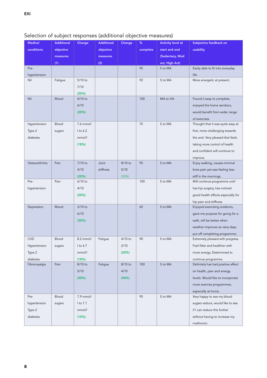#### Selection of subject responses (additional objective measures)

| complete<br>start and end<br>usability<br>conditions<br>objective<br>objective<br>(Sedentary, Mod<br>measures<br>measures<br>(1)<br>(2)<br>act, High Act)<br>95<br>Pre-<br>S to MA<br>Easily able to fit into everyday<br>life.<br>hypertension<br>5/10 to<br>92<br>S to MA<br>Nil<br>Fatigue<br>More energetic at present.<br>7/10<br>(20%)<br>Nil<br>Mood<br>4/10 to<br>100<br>MA to HA<br>Found it easy to complete,<br>6/10<br>enjoyed the home aerobics,<br>(20%)<br>would benefit from wider range<br>of exercises.<br>Blood<br>7.6 mmol/<br>75<br>S to MA<br>Hypertension<br>Thought that it was quite easy at<br>I to 6.2<br>Type 2<br>first, more challenging towards<br>sugars<br>diabetes<br>mmol/l<br>the end. Very pleased that feels<br>(18%)<br>taking more control of health<br>and confident will continue to<br>improve.<br>95<br>Osteoarthiritis<br>Pain<br>$7/10$ to<br>Joint<br>8/10 to<br>S to MA<br>Enjoy walking, causes minimal<br>4/10<br>stiffness<br>$5/10$<br>knee pain yet was feeling less<br>(30%)<br>(30%)<br>stiff in the mornings.<br>Pain<br>100<br>S to MA<br>Pre-<br>$6/10$ to<br>Will continue programme until<br>4/10<br>has hip surgery, has noticed<br>hypertension<br>good health effects especially for<br>(20%)<br>hip pain and stiffness<br>3/10 to<br>65<br>S to MA<br>Depression<br>Mood<br>Enjoyed exercising outdoors,<br>6/10<br>gave me purpose for going for a<br>(30%)<br>walk, will be better when<br>weather improves as rainy days<br>put off completing programme.<br>90<br><b>CVD</b><br><b>Blood</b><br>$8.2$ mmol/<br>$4/10$ to<br>S to MA<br>Extremely pleased with progress.<br>Fatigue<br>2/10<br>Feel fitter and healthier with<br>Hypertension<br>1 to 6.7<br>sugars<br>mmol/l<br>Type 2<br>(20%)<br>more energy. Determined to<br>diabetes<br>(18%)<br>continue programme.<br>Pain<br>8/10 to<br>100<br>S to MA<br>Definitely has had positive effect<br>Fibromyalgia<br>8/10 to<br>Fatigue<br>$5/10$<br>4/10<br>on health, pain and energy<br>(30%)<br>(40%)<br>levels. Would like to incorporate<br>more exercise programmes,<br>especially at home.<br>7.9 mmol/<br>95<br>Blood<br>S to MA<br>Very happy to see my blood<br>Pre-<br>I to 7.1<br>sugars reduce, would like to see<br>hypertension<br>sugars<br>if I can reduce this further<br>Type 2<br>mmol/l |                                                    |  |
|--------------------------------------------------------------------------------------------------------------------------------------------------------------------------------------------------------------------------------------------------------------------------------------------------------------------------------------------------------------------------------------------------------------------------------------------------------------------------------------------------------------------------------------------------------------------------------------------------------------------------------------------------------------------------------------------------------------------------------------------------------------------------------------------------------------------------------------------------------------------------------------------------------------------------------------------------------------------------------------------------------------------------------------------------------------------------------------------------------------------------------------------------------------------------------------------------------------------------------------------------------------------------------------------------------------------------------------------------------------------------------------------------------------------------------------------------------------------------------------------------------------------------------------------------------------------------------------------------------------------------------------------------------------------------------------------------------------------------------------------------------------------------------------------------------------------------------------------------------------------------------------------------------------------------------------------------------------------------------------------------------------------------------------------------------------------------------------------------------------------------------------------------------------------------------------------------------------------------------------------------------------------------------------------------------------------------------------|----------------------------------------------------|--|
|                                                                                                                                                                                                                                                                                                                                                                                                                                                                                                                                                                                                                                                                                                                                                                                                                                                                                                                                                                                                                                                                                                                                                                                                                                                                                                                                                                                                                                                                                                                                                                                                                                                                                                                                                                                                                                                                                                                                                                                                                                                                                                                                                                                                                                                                                                                                      |                                                    |  |
|                                                                                                                                                                                                                                                                                                                                                                                                                                                                                                                                                                                                                                                                                                                                                                                                                                                                                                                                                                                                                                                                                                                                                                                                                                                                                                                                                                                                                                                                                                                                                                                                                                                                                                                                                                                                                                                                                                                                                                                                                                                                                                                                                                                                                                                                                                                                      |                                                    |  |
|                                                                                                                                                                                                                                                                                                                                                                                                                                                                                                                                                                                                                                                                                                                                                                                                                                                                                                                                                                                                                                                                                                                                                                                                                                                                                                                                                                                                                                                                                                                                                                                                                                                                                                                                                                                                                                                                                                                                                                                                                                                                                                                                                                                                                                                                                                                                      |                                                    |  |
|                                                                                                                                                                                                                                                                                                                                                                                                                                                                                                                                                                                                                                                                                                                                                                                                                                                                                                                                                                                                                                                                                                                                                                                                                                                                                                                                                                                                                                                                                                                                                                                                                                                                                                                                                                                                                                                                                                                                                                                                                                                                                                                                                                                                                                                                                                                                      |                                                    |  |
|                                                                                                                                                                                                                                                                                                                                                                                                                                                                                                                                                                                                                                                                                                                                                                                                                                                                                                                                                                                                                                                                                                                                                                                                                                                                                                                                                                                                                                                                                                                                                                                                                                                                                                                                                                                                                                                                                                                                                                                                                                                                                                                                                                                                                                                                                                                                      |                                                    |  |
|                                                                                                                                                                                                                                                                                                                                                                                                                                                                                                                                                                                                                                                                                                                                                                                                                                                                                                                                                                                                                                                                                                                                                                                                                                                                                                                                                                                                                                                                                                                                                                                                                                                                                                                                                                                                                                                                                                                                                                                                                                                                                                                                                                                                                                                                                                                                      |                                                    |  |
|                                                                                                                                                                                                                                                                                                                                                                                                                                                                                                                                                                                                                                                                                                                                                                                                                                                                                                                                                                                                                                                                                                                                                                                                                                                                                                                                                                                                                                                                                                                                                                                                                                                                                                                                                                                                                                                                                                                                                                                                                                                                                                                                                                                                                                                                                                                                      |                                                    |  |
|                                                                                                                                                                                                                                                                                                                                                                                                                                                                                                                                                                                                                                                                                                                                                                                                                                                                                                                                                                                                                                                                                                                                                                                                                                                                                                                                                                                                                                                                                                                                                                                                                                                                                                                                                                                                                                                                                                                                                                                                                                                                                                                                                                                                                                                                                                                                      |                                                    |  |
|                                                                                                                                                                                                                                                                                                                                                                                                                                                                                                                                                                                                                                                                                                                                                                                                                                                                                                                                                                                                                                                                                                                                                                                                                                                                                                                                                                                                                                                                                                                                                                                                                                                                                                                                                                                                                                                                                                                                                                                                                                                                                                                                                                                                                                                                                                                                      |                                                    |  |
|                                                                                                                                                                                                                                                                                                                                                                                                                                                                                                                                                                                                                                                                                                                                                                                                                                                                                                                                                                                                                                                                                                                                                                                                                                                                                                                                                                                                                                                                                                                                                                                                                                                                                                                                                                                                                                                                                                                                                                                                                                                                                                                                                                                                                                                                                                                                      |                                                    |  |
|                                                                                                                                                                                                                                                                                                                                                                                                                                                                                                                                                                                                                                                                                                                                                                                                                                                                                                                                                                                                                                                                                                                                                                                                                                                                                                                                                                                                                                                                                                                                                                                                                                                                                                                                                                                                                                                                                                                                                                                                                                                                                                                                                                                                                                                                                                                                      |                                                    |  |
|                                                                                                                                                                                                                                                                                                                                                                                                                                                                                                                                                                                                                                                                                                                                                                                                                                                                                                                                                                                                                                                                                                                                                                                                                                                                                                                                                                                                                                                                                                                                                                                                                                                                                                                                                                                                                                                                                                                                                                                                                                                                                                                                                                                                                                                                                                                                      |                                                    |  |
|                                                                                                                                                                                                                                                                                                                                                                                                                                                                                                                                                                                                                                                                                                                                                                                                                                                                                                                                                                                                                                                                                                                                                                                                                                                                                                                                                                                                                                                                                                                                                                                                                                                                                                                                                                                                                                                                                                                                                                                                                                                                                                                                                                                                                                                                                                                                      |                                                    |  |
|                                                                                                                                                                                                                                                                                                                                                                                                                                                                                                                                                                                                                                                                                                                                                                                                                                                                                                                                                                                                                                                                                                                                                                                                                                                                                                                                                                                                                                                                                                                                                                                                                                                                                                                                                                                                                                                                                                                                                                                                                                                                                                                                                                                                                                                                                                                                      |                                                    |  |
|                                                                                                                                                                                                                                                                                                                                                                                                                                                                                                                                                                                                                                                                                                                                                                                                                                                                                                                                                                                                                                                                                                                                                                                                                                                                                                                                                                                                                                                                                                                                                                                                                                                                                                                                                                                                                                                                                                                                                                                                                                                                                                                                                                                                                                                                                                                                      |                                                    |  |
|                                                                                                                                                                                                                                                                                                                                                                                                                                                                                                                                                                                                                                                                                                                                                                                                                                                                                                                                                                                                                                                                                                                                                                                                                                                                                                                                                                                                                                                                                                                                                                                                                                                                                                                                                                                                                                                                                                                                                                                                                                                                                                                                                                                                                                                                                                                                      |                                                    |  |
|                                                                                                                                                                                                                                                                                                                                                                                                                                                                                                                                                                                                                                                                                                                                                                                                                                                                                                                                                                                                                                                                                                                                                                                                                                                                                                                                                                                                                                                                                                                                                                                                                                                                                                                                                                                                                                                                                                                                                                                                                                                                                                                                                                                                                                                                                                                                      |                                                    |  |
|                                                                                                                                                                                                                                                                                                                                                                                                                                                                                                                                                                                                                                                                                                                                                                                                                                                                                                                                                                                                                                                                                                                                                                                                                                                                                                                                                                                                                                                                                                                                                                                                                                                                                                                                                                                                                                                                                                                                                                                                                                                                                                                                                                                                                                                                                                                                      |                                                    |  |
|                                                                                                                                                                                                                                                                                                                                                                                                                                                                                                                                                                                                                                                                                                                                                                                                                                                                                                                                                                                                                                                                                                                                                                                                                                                                                                                                                                                                                                                                                                                                                                                                                                                                                                                                                                                                                                                                                                                                                                                                                                                                                                                                                                                                                                                                                                                                      |                                                    |  |
|                                                                                                                                                                                                                                                                                                                                                                                                                                                                                                                                                                                                                                                                                                                                                                                                                                                                                                                                                                                                                                                                                                                                                                                                                                                                                                                                                                                                                                                                                                                                                                                                                                                                                                                                                                                                                                                                                                                                                                                                                                                                                                                                                                                                                                                                                                                                      |                                                    |  |
|                                                                                                                                                                                                                                                                                                                                                                                                                                                                                                                                                                                                                                                                                                                                                                                                                                                                                                                                                                                                                                                                                                                                                                                                                                                                                                                                                                                                                                                                                                                                                                                                                                                                                                                                                                                                                                                                                                                                                                                                                                                                                                                                                                                                                                                                                                                                      |                                                    |  |
|                                                                                                                                                                                                                                                                                                                                                                                                                                                                                                                                                                                                                                                                                                                                                                                                                                                                                                                                                                                                                                                                                                                                                                                                                                                                                                                                                                                                                                                                                                                                                                                                                                                                                                                                                                                                                                                                                                                                                                                                                                                                                                                                                                                                                                                                                                                                      |                                                    |  |
|                                                                                                                                                                                                                                                                                                                                                                                                                                                                                                                                                                                                                                                                                                                                                                                                                                                                                                                                                                                                                                                                                                                                                                                                                                                                                                                                                                                                                                                                                                                                                                                                                                                                                                                                                                                                                                                                                                                                                                                                                                                                                                                                                                                                                                                                                                                                      |                                                    |  |
|                                                                                                                                                                                                                                                                                                                                                                                                                                                                                                                                                                                                                                                                                                                                                                                                                                                                                                                                                                                                                                                                                                                                                                                                                                                                                                                                                                                                                                                                                                                                                                                                                                                                                                                                                                                                                                                                                                                                                                                                                                                                                                                                                                                                                                                                                                                                      |                                                    |  |
|                                                                                                                                                                                                                                                                                                                                                                                                                                                                                                                                                                                                                                                                                                                                                                                                                                                                                                                                                                                                                                                                                                                                                                                                                                                                                                                                                                                                                                                                                                                                                                                                                                                                                                                                                                                                                                                                                                                                                                                                                                                                                                                                                                                                                                                                                                                                      |                                                    |  |
|                                                                                                                                                                                                                                                                                                                                                                                                                                                                                                                                                                                                                                                                                                                                                                                                                                                                                                                                                                                                                                                                                                                                                                                                                                                                                                                                                                                                                                                                                                                                                                                                                                                                                                                                                                                                                                                                                                                                                                                                                                                                                                                                                                                                                                                                                                                                      |                                                    |  |
|                                                                                                                                                                                                                                                                                                                                                                                                                                                                                                                                                                                                                                                                                                                                                                                                                                                                                                                                                                                                                                                                                                                                                                                                                                                                                                                                                                                                                                                                                                                                                                                                                                                                                                                                                                                                                                                                                                                                                                                                                                                                                                                                                                                                                                                                                                                                      |                                                    |  |
|                                                                                                                                                                                                                                                                                                                                                                                                                                                                                                                                                                                                                                                                                                                                                                                                                                                                                                                                                                                                                                                                                                                                                                                                                                                                                                                                                                                                                                                                                                                                                                                                                                                                                                                                                                                                                                                                                                                                                                                                                                                                                                                                                                                                                                                                                                                                      |                                                    |  |
|                                                                                                                                                                                                                                                                                                                                                                                                                                                                                                                                                                                                                                                                                                                                                                                                                                                                                                                                                                                                                                                                                                                                                                                                                                                                                                                                                                                                                                                                                                                                                                                                                                                                                                                                                                                                                                                                                                                                                                                                                                                                                                                                                                                                                                                                                                                                      |                                                    |  |
|                                                                                                                                                                                                                                                                                                                                                                                                                                                                                                                                                                                                                                                                                                                                                                                                                                                                                                                                                                                                                                                                                                                                                                                                                                                                                                                                                                                                                                                                                                                                                                                                                                                                                                                                                                                                                                                                                                                                                                                                                                                                                                                                                                                                                                                                                                                                      |                                                    |  |
|                                                                                                                                                                                                                                                                                                                                                                                                                                                                                                                                                                                                                                                                                                                                                                                                                                                                                                                                                                                                                                                                                                                                                                                                                                                                                                                                                                                                                                                                                                                                                                                                                                                                                                                                                                                                                                                                                                                                                                                                                                                                                                                                                                                                                                                                                                                                      |                                                    |  |
|                                                                                                                                                                                                                                                                                                                                                                                                                                                                                                                                                                                                                                                                                                                                                                                                                                                                                                                                                                                                                                                                                                                                                                                                                                                                                                                                                                                                                                                                                                                                                                                                                                                                                                                                                                                                                                                                                                                                                                                                                                                                                                                                                                                                                                                                                                                                      |                                                    |  |
|                                                                                                                                                                                                                                                                                                                                                                                                                                                                                                                                                                                                                                                                                                                                                                                                                                                                                                                                                                                                                                                                                                                                                                                                                                                                                                                                                                                                                                                                                                                                                                                                                                                                                                                                                                                                                                                                                                                                                                                                                                                                                                                                                                                                                                                                                                                                      |                                                    |  |
|                                                                                                                                                                                                                                                                                                                                                                                                                                                                                                                                                                                                                                                                                                                                                                                                                                                                                                                                                                                                                                                                                                                                                                                                                                                                                                                                                                                                                                                                                                                                                                                                                                                                                                                                                                                                                                                                                                                                                                                                                                                                                                                                                                                                                                                                                                                                      |                                                    |  |
|                                                                                                                                                                                                                                                                                                                                                                                                                                                                                                                                                                                                                                                                                                                                                                                                                                                                                                                                                                                                                                                                                                                                                                                                                                                                                                                                                                                                                                                                                                                                                                                                                                                                                                                                                                                                                                                                                                                                                                                                                                                                                                                                                                                                                                                                                                                                      |                                                    |  |
|                                                                                                                                                                                                                                                                                                                                                                                                                                                                                                                                                                                                                                                                                                                                                                                                                                                                                                                                                                                                                                                                                                                                                                                                                                                                                                                                                                                                                                                                                                                                                                                                                                                                                                                                                                                                                                                                                                                                                                                                                                                                                                                                                                                                                                                                                                                                      |                                                    |  |
|                                                                                                                                                                                                                                                                                                                                                                                                                                                                                                                                                                                                                                                                                                                                                                                                                                                                                                                                                                                                                                                                                                                                                                                                                                                                                                                                                                                                                                                                                                                                                                                                                                                                                                                                                                                                                                                                                                                                                                                                                                                                                                                                                                                                                                                                                                                                      |                                                    |  |
|                                                                                                                                                                                                                                                                                                                                                                                                                                                                                                                                                                                                                                                                                                                                                                                                                                                                                                                                                                                                                                                                                                                                                                                                                                                                                                                                                                                                                                                                                                                                                                                                                                                                                                                                                                                                                                                                                                                                                                                                                                                                                                                                                                                                                                                                                                                                      |                                                    |  |
|                                                                                                                                                                                                                                                                                                                                                                                                                                                                                                                                                                                                                                                                                                                                                                                                                                                                                                                                                                                                                                                                                                                                                                                                                                                                                                                                                                                                                                                                                                                                                                                                                                                                                                                                                                                                                                                                                                                                                                                                                                                                                                                                                                                                                                                                                                                                      |                                                    |  |
|                                                                                                                                                                                                                                                                                                                                                                                                                                                                                                                                                                                                                                                                                                                                                                                                                                                                                                                                                                                                                                                                                                                                                                                                                                                                                                                                                                                                                                                                                                                                                                                                                                                                                                                                                                                                                                                                                                                                                                                                                                                                                                                                                                                                                                                                                                                                      |                                                    |  |
|                                                                                                                                                                                                                                                                                                                                                                                                                                                                                                                                                                                                                                                                                                                                                                                                                                                                                                                                                                                                                                                                                                                                                                                                                                                                                                                                                                                                                                                                                                                                                                                                                                                                                                                                                                                                                                                                                                                                                                                                                                                                                                                                                                                                                                                                                                                                      |                                                    |  |
|                                                                                                                                                                                                                                                                                                                                                                                                                                                                                                                                                                                                                                                                                                                                                                                                                                                                                                                                                                                                                                                                                                                                                                                                                                                                                                                                                                                                                                                                                                                                                                                                                                                                                                                                                                                                                                                                                                                                                                                                                                                                                                                                                                                                                                                                                                                                      |                                                    |  |
|                                                                                                                                                                                                                                                                                                                                                                                                                                                                                                                                                                                                                                                                                                                                                                                                                                                                                                                                                                                                                                                                                                                                                                                                                                                                                                                                                                                                                                                                                                                                                                                                                                                                                                                                                                                                                                                                                                                                                                                                                                                                                                                                                                                                                                                                                                                                      | diabetes<br>(10%)<br>without having to increase my |  |
|                                                                                                                                                                                                                                                                                                                                                                                                                                                                                                                                                                                                                                                                                                                                                                                                                                                                                                                                                                                                                                                                                                                                                                                                                                                                                                                                                                                                                                                                                                                                                                                                                                                                                                                                                                                                                                                                                                                                                                                                                                                                                                                                                                                                                                                                                                                                      | metformin.                                         |  |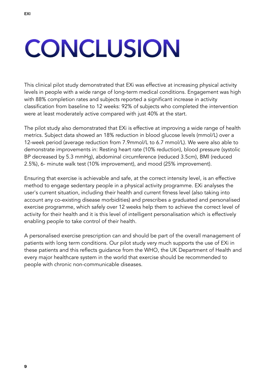## **CONCLUSION**

This clinical pilot study demonstrated that EXi was effective at increasing physical activity levels in people with a wide range of long-term medical conditions. Engagement was high with 88% completion rates and subjects reported a significant increase in activity classification from baseline to 12 weeks: 92% of subjects who completed the intervention were at least moderately active compared with just 40% at the start.

The pilot study also demonstrated that EXi is effective at improving a wide range of health metrics. Subject data showed an 18% reduction in blood glucose levels (mmol/L) over a 12-week period (average reduction from 7.9mmol/L to 6.7 mmol/L). We were also able to demonstrate improvements in: Resting heart rate (10% reduction), blood pressure (systolic BP decreased by 5.3 mmHg), abdominal circumference (reduced 3.5cm), BMI (reduced 2.5%), 6- minute walk test (10% improvement), and mood (25% improvement).

Ensuring that exercise is achievable and safe, at the correct intensity level, is an effective method to engage sedentary people in a physical activity programme. EXi analyses the user's current situation, including their health and current fitness level (also taking into account any co-existing disease morbidities) and prescribes a graduated and personalised exercise programme, which safely over 12 weeks help them to achieve the correct level of activity for their health and it is this level of intelligent personalisation which is effectively enabling people to take control of their health.

A personalised exercise prescription can and should be part of the overall management of patients with long term conditions. Our pilot study very much supports the use of EXi in these patients and this reflects guidance from the WHO, the UK Department of Health and every major healthcare system in the world that exercise should be recommended to people with chronic non-communicable diseases.